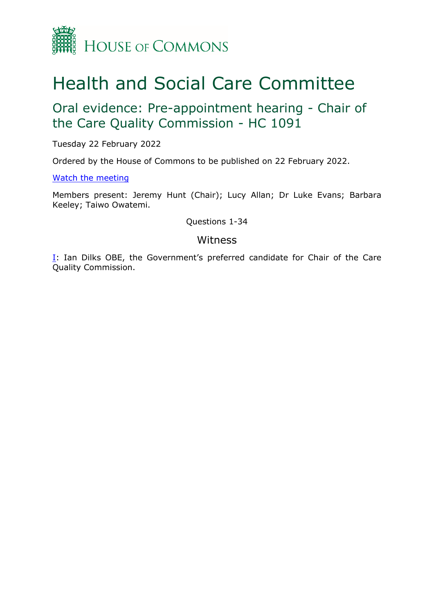

## Health and Social Care Committee

Oral evidence: Pre-appointment hearing - Chair of the Care Quality Commission - HC 1091

Tuesday 22 February 2022

Ordered by the House of Commons to be published on 22 February 2022.

[Watch](https://www.parliamentlive.tv/Event/Index/d7daf20d-4266-488a-82aa-fdcbc7345d14) [the](https://www.parliamentlive.tv/Event/Index/d7daf20d-4266-488a-82aa-fdcbc7345d14) [meeting](https://www.parliamentlive.tv/Event/Index/d7daf20d-4266-488a-82aa-fdcbc7345d14)

Members present: Jeremy Hunt (Chair); Lucy Allan; Dr Luke Evans; Barbara Keeley; Taiwo Owatemi.

Questions 1-34

## Witness

[I:](#page-1-0) Ian Dilks OBE, the Government's preferred candidate for Chair of the Care Quality Commission.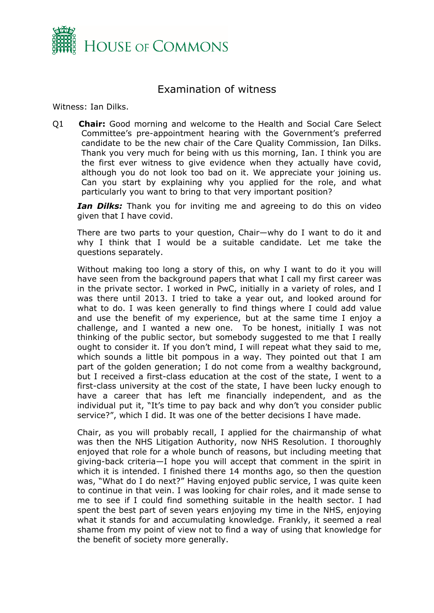

## <span id="page-1-0"></span>Examination of witness

Witness: Ian Dilks.

Q1 **Chair:** Good morning and welcome to the Health and Social Care Select Committee's pre-appointment hearing with the Government's preferred candidate to be the new chair of the Care Quality Commission, Ian Dilks. Thank you very much for being with us this morning, Ian. I think you are the first ever witness to give evidence when they actually have covid, although you do not look too bad on it. We appreciate your joining us. Can you start by explaining why you applied for the role, and what particularly you want to bring to that very important position?

*Ian Dilks:* Thank you for inviting me and agreeing to do this on video given that I have covid.

There are two parts to your question, Chair—why do I want to do it and why I think that I would be a suitable candidate. Let me take the questions separately.

Without making too long a story of this, on why I want to do it you will have seen from the background papers that what I call my first career was in the private sector. I worked in PwC, initially in a variety of roles, and I was there until 2013. I tried to take a year out, and looked around for what to do. I was keen generally to find things where I could add value and use the benefit of my experience, but at the same time I enjoy a challenge, and I wanted a new one. To be honest, initially I was not thinking of the public sector, but somebody suggested to me that I really ought to consider it. If you don't mind, I will repeat what they said to me, which sounds a little bit pompous in a way. They pointed out that I am part of the golden generation; I do not come from a wealthy background, but I received a first-class education at the cost of the state, I went to a first-class university at the cost of the state, I have been lucky enough to have a career that has left me financially independent, and as the individual put it, "It's time to pay back and why don't you consider public service?", which I did. It was one of the better decisions I have made.

Chair, as you will probably recall, I applied for the chairmanship of what was then the NHS Litigation Authority, now NHS Resolution. I thoroughly enjoyed that role for a whole bunch of reasons, but including meeting that giving-back criteria—I hope you will accept that comment in the spirit in which it is intended. I finished there 14 months ago, so then the question was, "What do I do next?" Having enjoyed public service, I was quite keen to continue in that vein. I was looking for chair roles, and it made sense to me to see if I could find something suitable in the health sector. I had spent the best part of seven years enjoying my time in the NHS, enjoying what it stands for and accumulating knowledge. Frankly, it seemed a real shame from my point of view not to find a way of using that knowledge for the benefit of society more generally.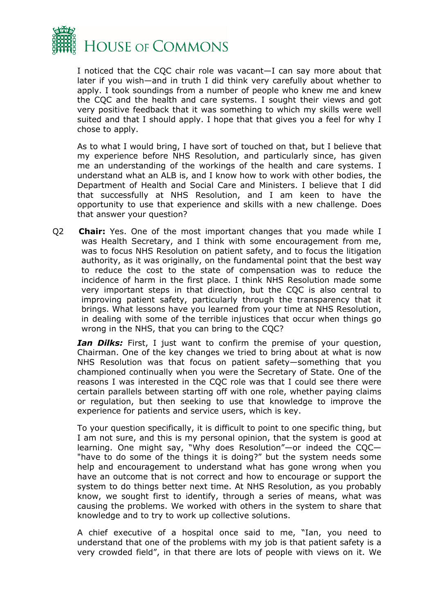

I noticed that the CQC chair role was vacant—I can say more about that later if you wish—and in truth I did think very carefully about whether to apply. I took soundings from a number of people who knew me and knew the CQC and the health and care systems. I sought their views and got very positive feedback that it was something to which my skills were well suited and that I should apply. I hope that that gives you a feel for why I chose to apply.

As to what I would bring, I have sort of touched on that, but I believe that my experience before NHS Resolution, and particularly since, has given me an understanding of the workings of the health and care systems. I understand what an ALB is, and I know how to work with other bodies, the Department of Health and Social Care and Ministers. I believe that I did that successfully at NHS Resolution, and I am keen to have the opportunity to use that experience and skills with a new challenge. Does that answer your question?

Q2 **Chair:** Yes. One of the most important changes that you made while I was Health Secretary, and I think with some encouragement from me, was to focus NHS Resolution on patient safety, and to focus the litigation authority, as it was originally, on the fundamental point that the best way to reduce the cost to the state of compensation was to reduce the incidence of harm in the first place. I think NHS Resolution made some very important steps in that direction, but the CQC is also central to improving patient safety, particularly through the transparency that it brings. What lessons have you learned from your time at NHS Resolution, in dealing with some of the terrible injustices that occur when things go wrong in the NHS, that you can bring to the CQC?

*Ian Dilks:* First, I just want to confirm the premise of your question, Chairman. One of the key changes we tried to bring about at what is now NHS Resolution was that focus on patient safety—something that you championed continually when you were the Secretary of State. One of the reasons I was interested in the CQC role was that I could see there were certain parallels between starting off with one role, whether paying claims or regulation, but then seeking to use that knowledge to improve the experience for patients and service users, which is key.

To your question specifically, it is difficult to point to one specific thing, but I am not sure, and this is my personal opinion, that the system is good at learning. One might say, "Why does Resolution"—or indeed the CQC— "have to do some of the things it is doing?" but the system needs some help and encouragement to understand what has gone wrong when you have an outcome that is not correct and how to encourage or support the system to do things better next time. At NHS Resolution, as you probably know, we sought first to identify, through a series of means, what was causing the problems. We worked with others in the system to share that knowledge and to try to work up collective solutions.

A chief executive of a hospital once said to me, "Ian, you need to understand that one of the problems with my job is that patient safety is a very crowded field", in that there are lots of people with views on it. We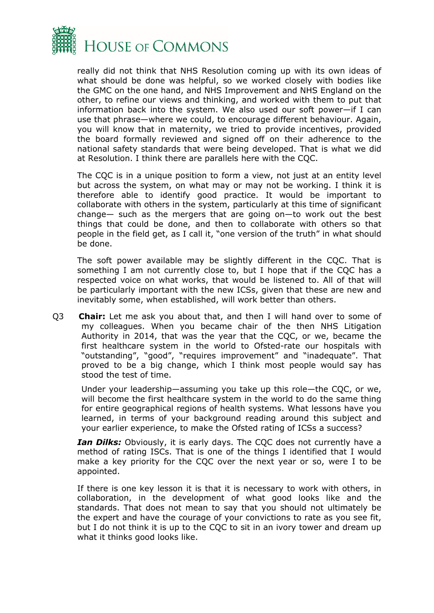

really did not think that NHS Resolution coming up with its own ideas of what should be done was helpful, so we worked closely with bodies like the GMC on the one hand, and NHS Improvement and NHS England on the other, to refine our views and thinking, and worked with them to put that information back into the system. We also used our soft power—if I can use that phrase—where we could, to encourage different behaviour. Again, you will know that in maternity, we tried to provide incentives, provided the board formally reviewed and signed off on their adherence to the national safety standards that were being developed. That is what we did at Resolution. I think there are parallels here with the CQC.

The CQC is in a unique position to form a view, not just at an entity level but across the system, on what may or may not be working. I think it is therefore able to identify good practice. It would be important to collaborate with others in the system, particularly at this time of significant change— such as the mergers that are going on—to work out the best things that could be done, and then to collaborate with others so that people in the field get, as I call it, "one version of the truth" in what should be done.

The soft power available may be slightly different in the CQC. That is something I am not currently close to, but I hope that if the CQC has a respected voice on what works, that would be listened to. All of that will be particularly important with the new ICSs, given that these are new and inevitably some, when established, will work better than others.

Q3 **Chair:** Let me ask you about that, and then I will hand over to some of my colleagues. When you became chair of the then NHS Litigation Authority in 2014, that was the year that the CQC, or we, became the first healthcare system in the world to Ofsted-rate our hospitals with "outstanding", "good", "requires improvement" and "inadequate". That proved to be a big change, which I think most people would say has stood the test of time.

Under your leadership—assuming you take up this role—the CQC, or we, will become the first healthcare system in the world to do the same thing for entire geographical regions of health systems. What lessons have you learned, in terms of your background reading around this subject and your earlier experience, to make the Ofsted rating of ICSs a success?

*Ian Dilks:* Obviously, it is early days. The CQC does not currently have a method of rating ISCs. That is one of the things I identified that I would make a key priority for the CQC over the next year or so, were I to be appointed.

If there is one key lesson it is that it is necessary to work with others, in collaboration, in the development of what good looks like and the standards. That does not mean to say that you should not ultimately be the expert and have the courage of your convictions to rate as you see fit, but I do not think it is up to the CQC to sit in an ivory tower and dream up what it thinks good looks like.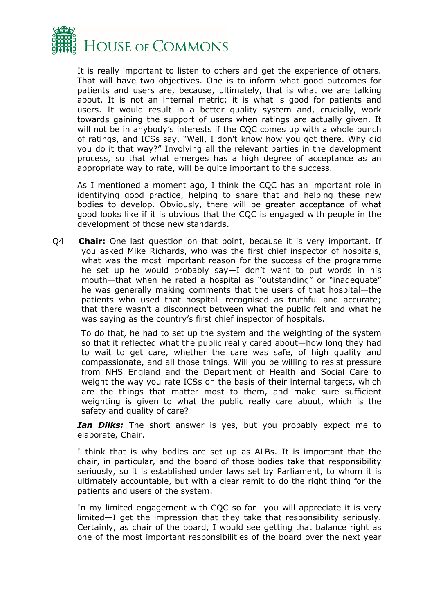

It is really important to listen to others and get the experience of others. That will have two objectives. One is to inform what good outcomes for patients and users are, because, ultimately, that is what we are talking about. It is not an internal metric; it is what is good for patients and users. It would result in a better quality system and, crucially, work towards gaining the support of users when ratings are actually given. It will not be in anybody's interests if the CQC comes up with a whole bunch of ratings, and ICSs say, "Well, I don't know how you got there. Why did you do it that way?" Involving all the relevant parties in the development process, so that what emerges has a high degree of acceptance as an appropriate way to rate, will be quite important to the success.

As I mentioned a moment ago, I think the CQC has an important role in identifying good practice, helping to share that and helping these new bodies to develop. Obviously, there will be greater acceptance of what good looks like if it is obvious that the CQC is engaged with people in the development of those new standards.

Q4 **Chair:** One last question on that point, because it is very important. If you asked Mike Richards, who was the first chief inspector of hospitals, what was the most important reason for the success of the programme he set up he would probably say—I don't want to put words in his mouth—that when he rated a hospital as "outstanding" or "inadequate" he was generally making comments that the users of that hospital—the patients who used that hospital—recognised as truthful and accurate; that there wasn't a disconnect between what the public felt and what he was saying as the country's first chief inspector of hospitals.

To do that, he had to set up the system and the weighting of the system so that it reflected what the public really cared about—how long they had to wait to get care, whether the care was safe, of high quality and compassionate, and all those things. Will you be willing to resist pressure from NHS England and the Department of Health and Social Care to weight the way you rate ICSs on the basis of their internal targets, which are the things that matter most to them, and make sure sufficient weighting is given to what the public really care about, which is the safety and quality of care?

*Ian Dilks:* The short answer is yes, but you probably expect me to elaborate, Chair.

I think that is why bodies are set up as ALBs. It is important that the chair, in particular, and the board of those bodies take that responsibility seriously, so it is established under laws set by Parliament, to whom it is ultimately accountable, but with a clear remit to do the right thing for the patients and users of the system.

In my limited engagement with CQC so far—you will appreciate it is very limited—I get the impression that they take that responsibility seriously. Certainly, as chair of the board, I would see getting that balance right as one of the most important responsibilities of the board over the next year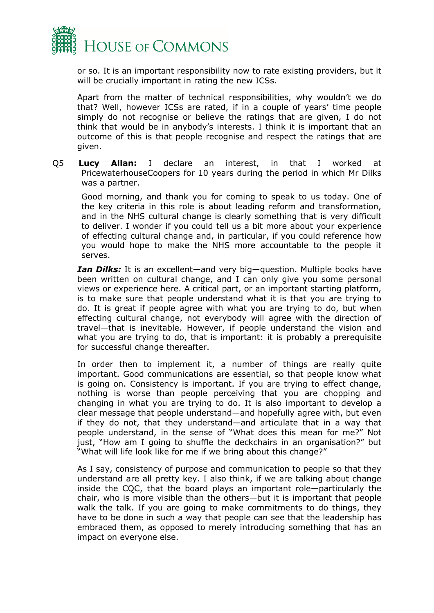

or so. It is an important responsibility now to rate existing providers, but it will be crucially important in rating the new ICSs.

Apart from the matter of technical responsibilities, why wouldn't we do that? Well, however ICSs are rated, if in a couple of years' time people simply do not recognise or believe the ratings that are given, I do not think that would be in anybody's interests. I think it is important that an outcome of this is that people recognise and respect the ratings that are given.

Q5 **Lucy Allan:** I declare an interest, in that I worked at PricewaterhouseCoopers for 10 years during the period in which Mr Dilks was a partner.

Good morning, and thank you for coming to speak to us today. One of the key criteria in this role is about leading reform and transformation, and in the NHS cultural change is clearly something that is very difficult to deliver. I wonder if you could tell us a bit more about your experience of effecting cultural change and, in particular, if you could reference how you would hope to make the NHS more accountable to the people it serves.

*Ian Dilks:* It is an excellent—and very big—question. Multiple books have been written on cultural change, and I can only give you some personal views or experience here. A critical part, or an important starting platform, is to make sure that people understand what it is that you are trying to do. It is great if people agree with what you are trying to do, but when effecting cultural change, not everybody will agree with the direction of travel—that is inevitable. However, if people understand the vision and what you are trying to do, that is important: it is probably a prerequisite for successful change thereafter.

In order then to implement it, a number of things are really quite important. Good communications are essential, so that people know what is going on. Consistency is important. If you are trying to effect change, nothing is worse than people perceiving that you are chopping and changing in what you are trying to do. It is also important to develop a clear message that people understand—and hopefully agree with, but even if they do not, that they understand—and articulate that in a way that people understand, in the sense of "What does this mean for me?" Not just, "How am I going to shuffle the deckchairs in an organisation?" but "What will life look like for me if we bring about this change?"

As I say, consistency of purpose and communication to people so that they understand are all pretty key. I also think, if we are talking about change inside the CQC, that the board plays an important role—particularly the chair, who is more visible than the others—but it is important that people walk the talk. If you are going to make commitments to do things, they have to be done in such a way that people can see that the leadership has embraced them, as opposed to merely introducing something that has an impact on everyone else.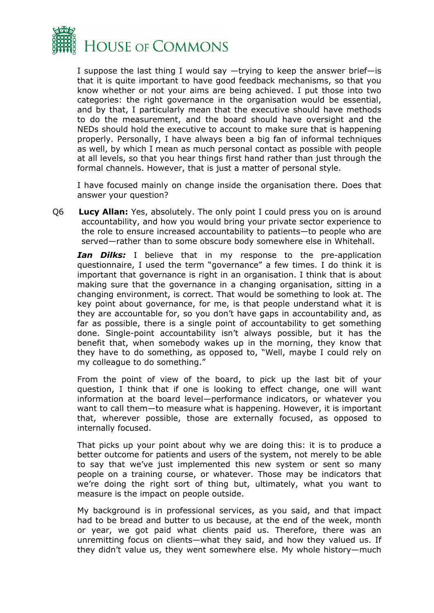

I suppose the last thing I would say —trying to keep the answer brief—is that it is quite important to have good feedback mechanisms, so that you know whether or not your aims are being achieved. I put those into two categories: the right governance in the organisation would be essential, and by that, I particularly mean that the executive should have methods to do the measurement, and the board should have oversight and the NEDs should hold the executive to account to make sure that is happening properly. Personally, I have always been a big fan of informal techniques as well, by which I mean as much personal contact as possible with people at all levels, so that you hear things first hand rather than just through the formal channels. However, that is just a matter of personal style.

I have focused mainly on change inside the organisation there. Does that answer your question?

Q6 **Lucy Allan:** Yes, absolutely. The only point I could press you on is around accountability, and how you would bring your private sector experience to the role to ensure increased accountability to patients—to people who are served—rather than to some obscure body somewhere else in Whitehall.

*Ian Dilks:* I believe that in my response to the pre-application questionnaire, I used the term "governance" a few times. I do think it is important that governance is right in an organisation. I think that is about making sure that the governance in a changing organisation, sitting in a changing environment, is correct. That would be something to look at. The key point about governance, for me, is that people understand what it is they are accountable for, so you don't have gaps in accountability and, as far as possible, there is a single point of accountability to get something done. Single-point accountability isn't always possible, but it has the benefit that, when somebody wakes up in the morning, they know that they have to do something, as opposed to, "Well, maybe I could rely on my colleague to do something."

From the point of view of the board, to pick up the last bit of your question, I think that if one is looking to effect change, one will want information at the board level—performance indicators, or whatever you want to call them—to measure what is happening. However, it is important that, wherever possible, those are externally focused, as opposed to internally focused.

That picks up your point about why we are doing this: it is to produce a better outcome for patients and users of the system, not merely to be able to say that we've just implemented this new system or sent so many people on a training course, or whatever. Those may be indicators that we're doing the right sort of thing but, ultimately, what you want to measure is the impact on people outside.

My background is in professional services, as you said, and that impact had to be bread and butter to us because, at the end of the week, month or year, we got paid what clients paid us. Therefore, there was an unremitting focus on clients—what they said, and how they valued us. If they didn't value us, they went somewhere else. My whole history—much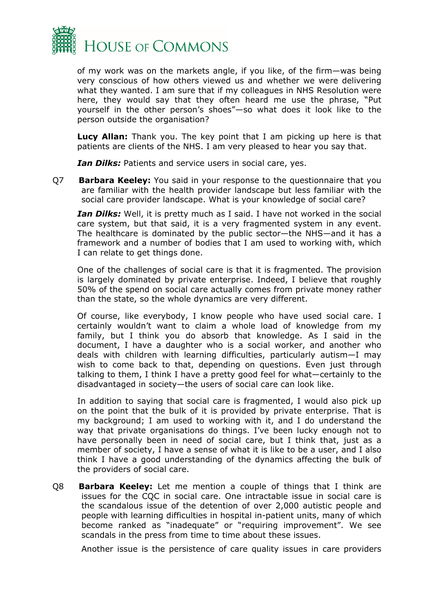

of my work was on the markets angle, if you like, of the firm—was being very conscious of how others viewed us and whether we were delivering what they wanted. I am sure that if my colleagues in NHS Resolution were here, they would say that they often heard me use the phrase, "Put yourself in the other person's shoes"—so what does it look like to the person outside the organisation?

**Lucy Allan:** Thank you. The key point that I am picking up here is that patients are clients of the NHS. I am very pleased to hear you say that.

*Ian Dilks:* Patients and service users in social care, yes.

Q7 **Barbara Keeley:** You said in your response to the questionnaire that you are familiar with the health provider landscape but less familiar with the social care provider landscape. What is your knowledge of social care?

*Ian Dilks:* Well, it is pretty much as I said. I have not worked in the social care system, but that said, it is a very fragmented system in any event. The healthcare is dominated by the public sector—the NHS—and it has a framework and a number of bodies that I am used to working with, which I can relate to get things done.

One of the challenges of social care is that it is fragmented. The provision is largely dominated by private enterprise. Indeed, I believe that roughly 50% of the spend on social care actually comes from private money rather than the state, so the whole dynamics are very different.

Of course, like everybody, I know people who have used social care. I certainly wouldn't want to claim a whole load of knowledge from my family, but I think you do absorb that knowledge. As I said in the document, I have a daughter who is a social worker, and another who deals with children with learning difficulties, particularly autism—I may wish to come back to that, depending on questions. Even just through talking to them, I think I have a pretty good feel for what—certainly to the disadvantaged in society—the users of social care can look like.

In addition to saying that social care is fragmented, I would also pick up on the point that the bulk of it is provided by private enterprise. That is my background; I am used to working with it, and I do understand the way that private organisations do things. I've been lucky enough not to have personally been in need of social care, but I think that, just as a member of society, I have a sense of what it is like to be a user, and I also think I have a good understanding of the dynamics affecting the bulk of the providers of social care.

Q8 **Barbara Keeley:** Let me mention a couple of things that I think are issues for the CQC in social care. One intractable issue in social care is the scandalous issue of the detention of over 2,000 autistic people and people with learning difficulties in hospital in-patient units, many of which become ranked as "inadequate" or "requiring improvement". We see scandals in the press from time to time about these issues.

Another issue is the persistence of care quality issues in care providers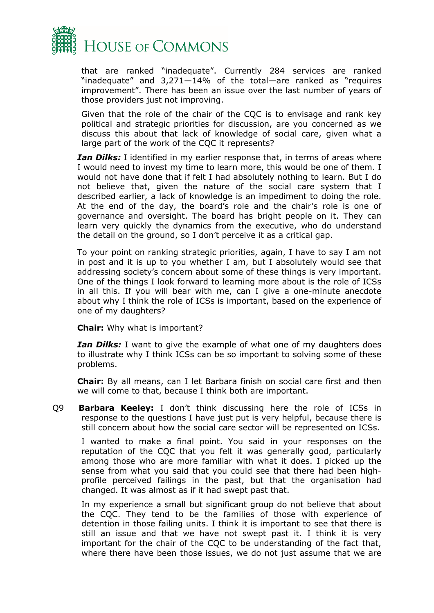

that are ranked "inadequate". Currently 284 services are ranked "inadequate" and 3,271—14% of the total—are ranked as "requires improvement". There has been an issue over the last number of years of those providers just not improving.

Given that the role of the chair of the CQC is to envisage and rank key political and strategic priorities for discussion, are you concerned as we discuss this about that lack of knowledge of social care, given what a large part of the work of the CQC it represents?

*Ian Dilks:* I identified in my earlier response that, in terms of areas where I would need to invest my time to learn more, this would be one of them. I would not have done that if felt I had absolutely nothing to learn. But I do not believe that, given the nature of the social care system that I described earlier, a lack of knowledge is an impediment to doing the role. At the end of the day, the board's role and the chair's role is one of governance and oversight. The board has bright people on it. They can learn very quickly the dynamics from the executive, who do understand the detail on the ground, so I don't perceive it as a critical gap.

To your point on ranking strategic priorities, again, I have to say I am not in post and it is up to you whether I am, but I absolutely would see that addressing society's concern about some of these things is very important. One of the things I look forward to learning more about is the role of ICSs in all this. If you will bear with me, can I give a one-minute anecdote about why I think the role of ICSs is important, based on the experience of one of my daughters?

**Chair:** Why what is important?

*Ian Dilks:* I want to give the example of what one of my daughters does to illustrate why I think ICSs can be so important to solving some of these problems.

**Chair:** By all means, can I let Barbara finish on social care first and then we will come to that, because I think both are important.

Q9 **Barbara Keeley:** I don't think discussing here the role of ICSs in response to the questions I have just put is very helpful, because there is still concern about how the social care sector will be represented on ICSs.

I wanted to make a final point. You said in your responses on the reputation of the CQC that you felt it was generally good, particularly among those who are more familiar with what it does. I picked up the sense from what you said that you could see that there had been highprofile perceived failings in the past, but that the organisation had changed. It was almost as if it had swept past that.

In my experience a small but significant group do not believe that about the CQC. They tend to be the families of those with experience of detention in those failing units. I think it is important to see that there is still an issue and that we have not swept past it. I think it is very important for the chair of the CQC to be understanding of the fact that, where there have been those issues, we do not just assume that we are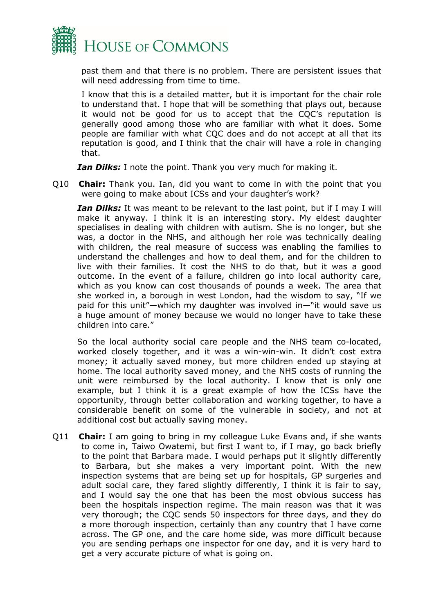

past them and that there is no problem. There are persistent issues that will need addressing from time to time.

I know that this is a detailed matter, but it is important for the chair role to understand that. I hope that will be something that plays out, because it would not be good for us to accept that the CQC's reputation is generally good among those who are familiar with what it does. Some people are familiar with what CQC does and do not accept at all that its reputation is good, and I think that the chair will have a role in changing that.

*Ian Dilks:* I note the point. Thank you very much for making it.

Q10 **Chair:** Thank you. Ian, did you want to come in with the point that you were going to make about ICSs and your daughter's work?

*Ian Dilks:* It was meant to be relevant to the last point, but if I may I will make it anyway. I think it is an interesting story. My eldest daughter specialises in dealing with children with autism. She is no longer, but she was, a doctor in the NHS, and although her role was technically dealing with children, the real measure of success was enabling the families to understand the challenges and how to deal them, and for the children to live with their families. It cost the NHS to do that, but it was a good outcome. In the event of a failure, children go into local authority care, which as you know can cost thousands of pounds a week. The area that she worked in, a borough in west London, had the wisdom to say, "If we paid for this unit"—which my daughter was involved in—"it would save us a huge amount of money because we would no longer have to take these children into care."

So the local authority social care people and the NHS team co-located, worked closely together, and it was a win-win-win. It didn't cost extra money; it actually saved money, but more children ended up staying at home. The local authority saved money, and the NHS costs of running the unit were reimbursed by the local authority. I know that is only one example, but I think it is a great example of how the ICSs have the opportunity, through better collaboration and working together, to have a considerable benefit on some of the vulnerable in society, and not at additional cost but actually saving money.

Q11 **Chair:** I am going to bring in my colleague Luke Evans and, if she wants to come in, Taiwo Owatemi, but first I want to, if I may, go back briefly to the point that Barbara made. I would perhaps put it slightly differently to Barbara, but she makes a very important point. With the new inspection systems that are being set up for hospitals, GP surgeries and adult social care, they fared slightly differently, I think it is fair to say, and I would say the one that has been the most obvious success has been the hospitals inspection regime. The main reason was that it was very thorough; the CQC sends 50 inspectors for three days, and they do a more thorough inspection, certainly than any country that I have come across. The GP one, and the care home side, was more difficult because you are sending perhaps one inspector for one day, and it is very hard to get a very accurate picture of what is going on.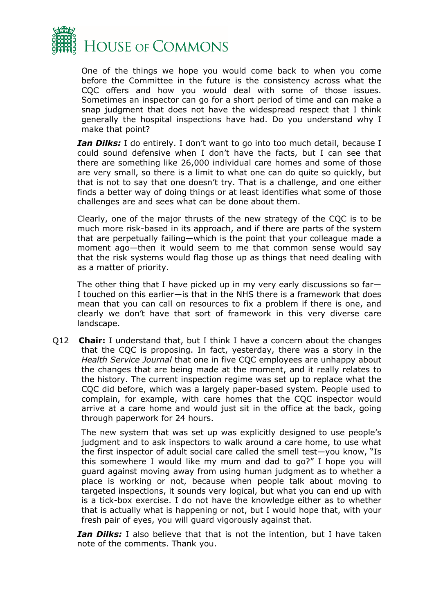

One of the things we hope you would come back to when you come before the Committee in the future is the consistency across what the CQC offers and how you would deal with some of those issues. Sometimes an inspector can go for a short period of time and can make a snap judgment that does not have the widespread respect that I think generally the hospital inspections have had. Do you understand why I make that point?

*Ian Dilks:* I do entirely. I don't want to go into too much detail, because I could sound defensive when I don't have the facts, but I can see that there are something like 26,000 individual care homes and some of those are very small, so there is a limit to what one can do quite so quickly, but that is not to say that one doesn't try. That is a challenge, and one either finds a better way of doing things or at least identifies what some of those challenges are and sees what can be done about them.

Clearly, one of the major thrusts of the new strategy of the CQC is to be much more risk-based in its approach, and if there are parts of the system that are perpetually failing—which is the point that your colleague made a moment ago—then it would seem to me that common sense would say that the risk systems would flag those up as things that need dealing with as a matter of priority.

The other thing that I have picked up in my very early discussions so far— I touched on this earlier—is that in the NHS there is a framework that does mean that you can call on resources to fix a problem if there is one, and clearly we don't have that sort of framework in this very diverse care landscape.

Q12 **Chair:** I understand that, but I think I have a concern about the changes that the CQC is proposing. In fact, yesterday, there was a story in the *Health Service Journal* that one in five CQC employees are unhappy about the changes that are being made at the moment, and it really relates to the history. The current inspection regime was set up to replace what the CQC did before, which was a largely paper-based system. People used to complain, for example, with care homes that the CQC inspector would arrive at a care home and would just sit in the office at the back, going through paperwork for 24 hours.

The new system that was set up was explicitly designed to use people's judgment and to ask inspectors to walk around a care home, to use what the first inspector of adult social care called the smell test—you know, "Is this somewhere I would like my mum and dad to go?" I hope you will guard against moving away from using human judgment as to whether a place is working or not, because when people talk about moving to targeted inspections, it sounds very logical, but what you can end up with is a tick-box exercise. I do not have the knowledge either as to whether that is actually what is happening or not, but I would hope that, with your fresh pair of eyes, you will guard vigorously against that.

*Ian Dilks:* I also believe that that is not the intention, but I have taken note of the comments. Thank you.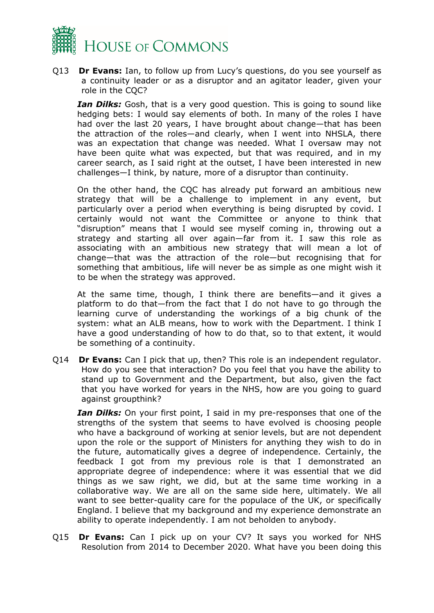

Q13 **Dr Evans:** Ian, to follow up from Lucy's questions, do you see yourself as a continuity leader or as a disruptor and an agitator leader, given your role in the CQC?

*Ian Dilks:* Gosh, that is a very good question. This is going to sound like hedging bets: I would say elements of both. In many of the roles I have had over the last 20 years, I have brought about change—that has been the attraction of the roles—and clearly, when I went into NHSLA, there was an expectation that change was needed. What I oversaw may not have been quite what was expected, but that was required, and in my career search, as I said right at the outset, I have been interested in new challenges—I think, by nature, more of a disruptor than continuity.

On the other hand, the CQC has already put forward an ambitious new strategy that will be a challenge to implement in any event, but particularly over a period when everything is being disrupted by covid. I certainly would not want the Committee or anyone to think that "disruption" means that I would see myself coming in, throwing out a strategy and starting all over again—far from it. I saw this role as associating with an ambitious new strategy that will mean a lot of change—that was the attraction of the role—but recognising that for something that ambitious, life will never be as simple as one might wish it to be when the strategy was approved.

At the same time, though, I think there are benefits—and it gives a platform to do that—from the fact that I do not have to go through the learning curve of understanding the workings of a big chunk of the system: what an ALB means, how to work with the Department. I think I have a good understanding of how to do that, so to that extent, it would be something of a continuity.

Q14 **Dr Evans:** Can I pick that up, then? This role is an independent regulator. How do you see that interaction? Do you feel that you have the ability to stand up to Government and the Department, but also, given the fact that you have worked for years in the NHS, how are you going to guard against groupthink?

*Ian Dilks:* On your first point, I said in my pre-responses that one of the strengths of the system that seems to have evolved is choosing people who have a background of working at senior levels, but are not dependent upon the role or the support of Ministers for anything they wish to do in the future, automatically gives a degree of independence. Certainly, the feedback I got from my previous role is that I demonstrated an appropriate degree of independence: where it was essential that we did things as we saw right, we did, but at the same time working in a collaborative way. We are all on the same side here, ultimately. We all want to see better-quality care for the populace of the UK, or specifically England. I believe that my background and my experience demonstrate an ability to operate independently. I am not beholden to anybody.

Q15 **Dr Evans:** Can I pick up on your CV? It says you worked for NHS Resolution from 2014 to December 2020. What have you been doing this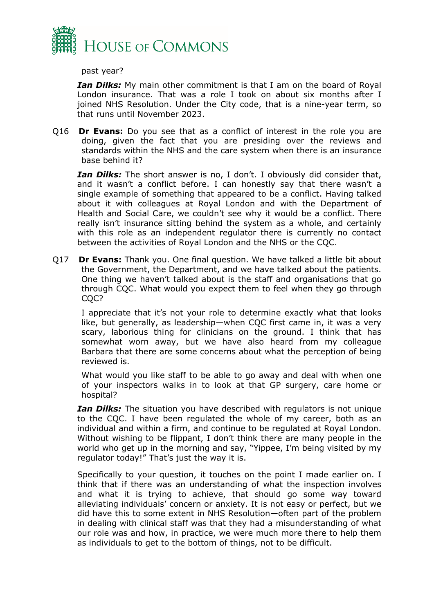

past year?

*Ian Dilks:* My main other commitment is that I am on the board of Royal London insurance. That was a role I took on about six months after I joined NHS Resolution. Under the City code, that is a nine-year term, so that runs until November 2023.

Q16 **Dr Evans:** Do you see that as a conflict of interest in the role you are doing, given the fact that you are presiding over the reviews and standards within the NHS and the care system when there is an insurance base behind it?

*Ian Dilks:* The short answer is no, I don't. I obviously did consider that, and it wasn't a conflict before. I can honestly say that there wasn't a single example of something that appeared to be a conflict. Having talked about it with colleagues at Royal London and with the Department of Health and Social Care, we couldn't see why it would be a conflict. There really isn't insurance sitting behind the system as a whole, and certainly with this role as an independent regulator there is currently no contact between the activities of Royal London and the NHS or the CQC.

Q17 **Dr Evans:** Thank you. One final question. We have talked a little bit about the Government, the Department, and we have talked about the patients. One thing we haven't talked about is the staff and organisations that go through CQC. What would you expect them to feel when they go through CQC?

I appreciate that it's not your role to determine exactly what that looks like, but generally, as leadership—when CQC first came in, it was a very scary, laborious thing for clinicians on the ground. I think that has somewhat worn away, but we have also heard from my colleague Barbara that there are some concerns about what the perception of being reviewed is.

What would you like staff to be able to go away and deal with when one of your inspectors walks in to look at that GP surgery, care home or hospital?

*Ian Dilks:* The situation you have described with regulators is not unique to the CQC. I have been regulated the whole of my career, both as an individual and within a firm, and continue to be regulated at Royal London. Without wishing to be flippant, I don't think there are many people in the world who get up in the morning and say, "Yippee, I'm being visited by my regulator today!" That's just the way it is.

Specifically to your question, it touches on the point I made earlier on. I think that if there was an understanding of what the inspection involves and what it is trying to achieve, that should go some way toward alleviating individuals' concern or anxiety. It is not easy or perfect, but we did have this to some extent in NHS Resolution—often part of the problem in dealing with clinical staff was that they had a misunderstanding of what our role was and how, in practice, we were much more there to help them as individuals to get to the bottom of things, not to be difficult.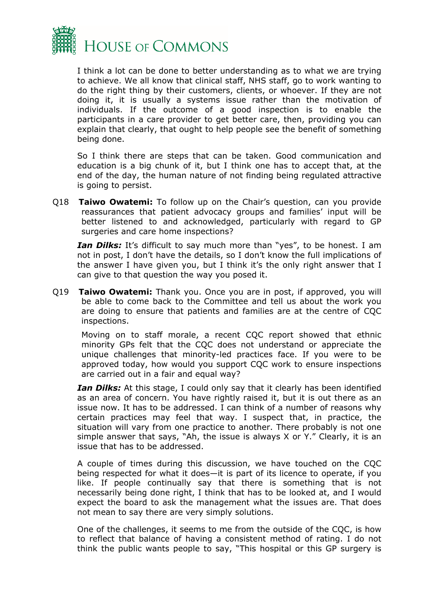

I think a lot can be done to better understanding as to what we are trying to achieve. We all know that clinical staff, NHS staff, go to work wanting to do the right thing by their customers, clients, or whoever. If they are not doing it, it is usually a systems issue rather than the motivation of individuals. If the outcome of a good inspection is to enable the participants in a care provider to get better care, then, providing you can explain that clearly, that ought to help people see the benefit of something being done.

So I think there are steps that can be taken. Good communication and education is a big chunk of it, but I think one has to accept that, at the end of the day, the human nature of not finding being regulated attractive is going to persist.

Q18 **Taiwo Owatemi:** To follow up on the Chair's question, can you provide reassurances that patient advocacy groups and families' input will be better listened to and acknowledged, particularly with regard to GP surgeries and care home inspections?

*Ian Dilks:* It's difficult to say much more than "yes", to be honest. I am not in post, I don't have the details, so I don't know the full implications of the answer I have given you, but I think it's the only right answer that I can give to that question the way you posed it.

Q19 **Taiwo Owatemi:** Thank you. Once you are in post, if approved, you will be able to come back to the Committee and tell us about the work you are doing to ensure that patients and families are at the centre of CQC inspections.

Moving on to staff morale, a recent CQC report showed that ethnic minority GPs felt that the CQC does not understand or appreciate the unique challenges that minority-led practices face. If you were to be approved today, how would you support CQC work to ensure inspections are carried out in a fair and equal way?

*Ian Dilks:* At this stage, I could only say that it clearly has been identified as an area of concern. You have rightly raised it, but it is out there as an issue now. It has to be addressed. I can think of a number of reasons why certain practices may feel that way. I suspect that, in practice, the situation will vary from one practice to another. There probably is not one simple answer that says, "Ah, the issue is always X or Y." Clearly, it is an issue that has to be addressed.

A couple of times during this discussion, we have touched on the CQC being respected for what it does—it is part of its licence to operate, if you like. If people continually say that there is something that is not necessarily being done right, I think that has to be looked at, and I would expect the board to ask the management what the issues are. That does not mean to say there are very simply solutions.

One of the challenges, it seems to me from the outside of the CQC, is how to reflect that balance of having a consistent method of rating. I do not think the public wants people to say, "This hospital or this GP surgery is